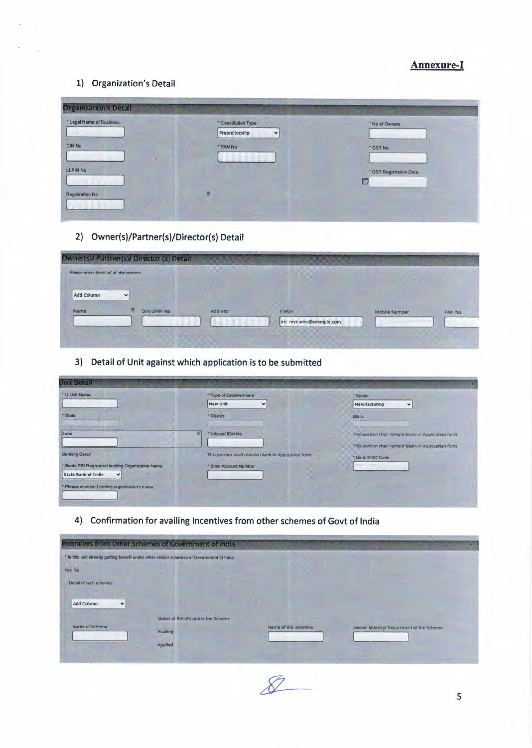### **Annexure-I**

#### 1) Organization's Detail

| <b>Organization's Detail</b> |                                |                         |
|------------------------------|--------------------------------|-------------------------|
| * Legal Name of Business     | * Constitution Type            | * No of Owners          |
| Wul                          | Propreitorship<br>$\checkmark$ |                         |
| CIN No                       | * PAN No                       | * GST No                |
|                              |                                |                         |
| LLPIN No                     |                                | * GST Registration Date |
|                              |                                | 画                       |
| Registration No              |                                |                         |
|                              |                                |                         |

## 2) Owner(s)/Partner(s)/Director(s) Detail

| Please enter detail of all the owners |              |                    |         |        |               |         |
|---------------------------------------|--------------|--------------------|---------|--------|---------------|---------|
| Add Column                            | $\checkmark$ |                    |         |        |               |         |
|                                       |              | <b>DIN/DPIN NO</b> | Address | E-Mail | Mobile Number | PAN No. |
| Name                                  |              |                    |         |        |               |         |

3) Detail of Unit against which application is to be submitted

| Unit Detail                                                                                            |                                                     |                                                                                                              |
|--------------------------------------------------------------------------------------------------------|-----------------------------------------------------|--------------------------------------------------------------------------------------------------------------|
| * U Unk Name                                                                                           | * Type of Establishment<br>New Unit<br>$\checkmark$ | * Sector<br>Manufacturing<br>$\checkmark$                                                                    |
| · State                                                                                                | * District                                          | <b>Block</b>                                                                                                 |
| $2$ one<br>言                                                                                           | "Udyann/ IEM No.                                    | This portion shall remain blank in Application form.<br>This portion shall remain blank in Application form. |
| <b>Banking Detall</b>                                                                                  | This portion shall remain blank in Application form | * Bank IFSC Code                                                                                             |
| * Bank/ RBI Registered lending Organization Name<br><b>State Bank of India</b><br>$\blacktriangledown$ | * Bank Account Number                               |                                                                                                              |
| * Please montion Lending organization's name.                                                          |                                                     |                                                                                                              |

4) Confirmation for availing Incentives from other schemes of Govt of India

|                                                      | Incentives from Other Schemes of Government of India                                      |                       |                                          |  |
|------------------------------------------------------|-------------------------------------------------------------------------------------------|-----------------------|------------------------------------------|--|
| Yes No                                               | * Is this unit already getting benefit under other similar schemes of Government of India |                       |                                          |  |
| Detail of such schemes<br>Add Column<br>$\checkmark$ |                                                                                           |                       |                                          |  |
| Name of Scheme                                       | Status of Benefit under the Scheme<br>Availing<br>Applied                                 | Name of the Incentive | Owner Ministry/ Department of the Scheme |  |

 $\mathscr{L}$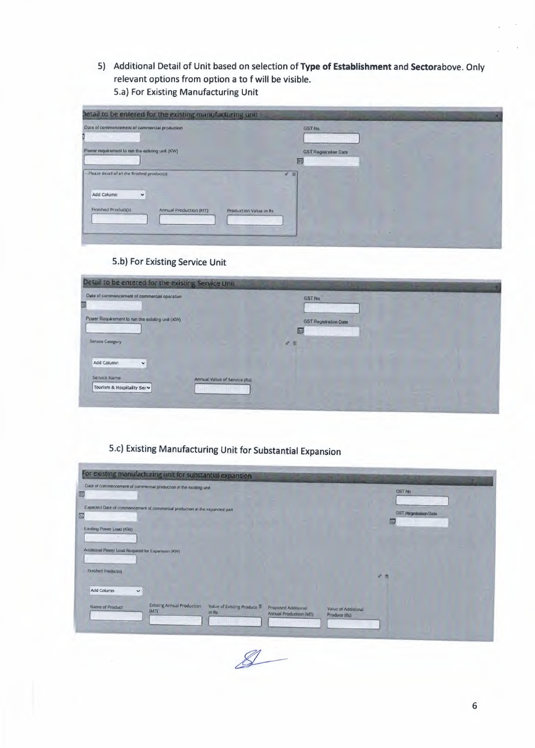5) Additional Detail of Unit based on selection of Type of Establishment and Sectorabove. Only relevant options from option a to f will be visible. 5.a) For Existing Manufacturing Unit

| betail to be entered for the existing manufacturing unit |                                   |
|----------------------------------------------------------|-----------------------------------|
| Date of commencement of commercial production<br>,,,,,   | <b>GST No</b>                     |
| Power requirement to run the existing unit (KW)          | <b>GST Registration Date</b><br>囲 |
| Please detail of all the finished product(s)             | # 8                               |
| Add Column<br>$\checkmark$<br><b>Finished Product(s)</b> |                                   |
| Annual Production (MT)<br>Production Value in Rs         |                                   |
|                                                          |                                   |

### 5.b) For Existing Service Unit

| Date of commencement of commercial operation                                | <b>GST No</b>                     |  |
|-----------------------------------------------------------------------------|-----------------------------------|--|
| Power Requirement to run the existing unit (KW)                             | <b>GST Registration Date</b><br>阻 |  |
| <b>Service Category</b>                                                     | ď                                 |  |
| Add Column<br>$\check{}$                                                    |                                   |  |
| Service Name<br>Annual Value of Service (Rs)<br>Tourism & Hospitality Ser v |                                   |  |

# 5.c) Existing Manufacturing Unit for Substantial Expansion

| Date of commencement of commercial production in the existing unit<br>and the first property |                            |                           |                                               |                                       | GST No |                              |  |
|----------------------------------------------------------------------------------------------|----------------------------|---------------------------|-----------------------------------------------|---------------------------------------|--------|------------------------------|--|
| Expected Date of commencement of commercial production in the expanded part                  |                            |                           |                                               |                                       | 画      | <b>GST Registration Date</b> |  |
| Existing Power Load (KW)                                                                     |                            |                           |                                               |                                       |        |                              |  |
| Additional Power Load Required for Expansion (KW)                                            |                            |                           |                                               |                                       |        |                              |  |
| <b>Finished Production</b>                                                                   |                            |                           |                                               |                                       | $v^*$  |                              |  |
| Add Column<br>$\checkmark$<br>Name of Product                                                | Existing Annual Production | Value of Existing Produce |                                               |                                       |        |                              |  |
| (MTI)                                                                                        |                            | In Rs                     | Proposed Additional<br>Annual Production (MT) | Value of Additional<br>Produce (fils) |        |                              |  |

 $8-$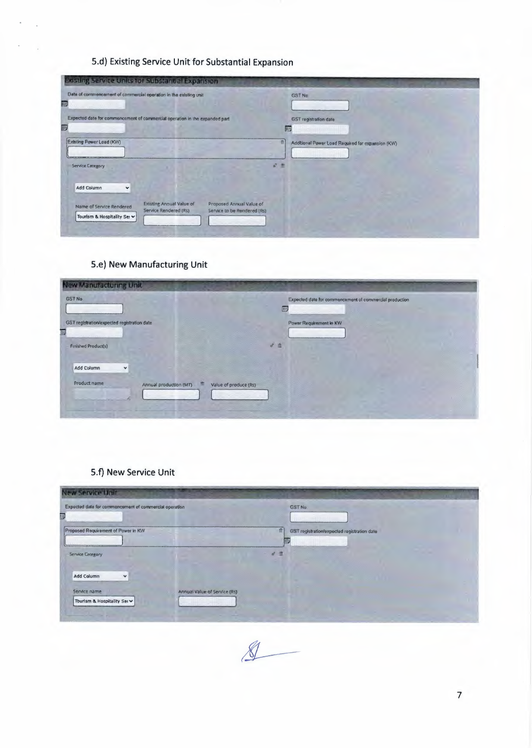## 5.d) Existing Service Unit for Substantial Expansion

| Existing Service Units for Substandal Expansion                             |                                                          |                                                         |                                                        |
|-----------------------------------------------------------------------------|----------------------------------------------------------|---------------------------------------------------------|--------------------------------------------------------|
| Date of commencement of commercial operation in the existing unit           |                                                          |                                                         | <b>GST No.</b>                                         |
| Expected date for commencement of commercial operation in the expanded part |                                                          |                                                         | GST registration date<br>画                             |
| <b>Existing Power Load (KW)</b>                                             |                                                          |                                                         | ø<br>Additional Power Load Required for expansion (KW) |
| Service Category                                                            |                                                          |                                                         | $\mathbf{a}^{\prime\prime}$<br>æ                       |
| Add Column<br>$\checkmark$                                                  |                                                          |                                                         |                                                        |
| Name of Service Rendered<br>Tourism & Hospitality Ser v                     | <b>Existing Annual Value of</b><br>Service Rendered (Rs) | Proposed Annual Value of<br>Service to be Rendered (Rs) |                                                        |
|                                                                             |                                                          |                                                         |                                                        |

## 5.e) New Manufacturing Unit

| <b>GST No</b>                               | Expected date for commencement of commercial production |
|---------------------------------------------|---------------------------------------------------------|
|                                             | 四                                                       |
| GST registration/expected registration date | Power Requirement in KW                                 |
|                                             |                                                         |
| Finished Product(s)                         | $\overline{d}$<br>査                                     |
| Add Column<br>×                             |                                                         |
|                                             |                                                         |
| Product name<br>Annual production (MT)      | Value of produce (Rs)                                   |
|                                             |                                                         |

## 5.f) New Service Unit

| <b>New Service Unit</b>                                                    |                                                       |
|----------------------------------------------------------------------------|-------------------------------------------------------|
| Expected date for commencement of commercial operation                     | GST <sub>No.</sub>                                    |
| Proposed Requirement of Power in KW                                        | ā<br>GST registration/expected registration date<br>睡 |
| Service Category                                                           |                                                       |
| <b>Add Column</b><br>$\checkmark$                                          |                                                       |
| Service name<br>Annual Value of Service (Rs)<br>Tourism & Hospitality Serv |                                                       |

 $\bigotimes$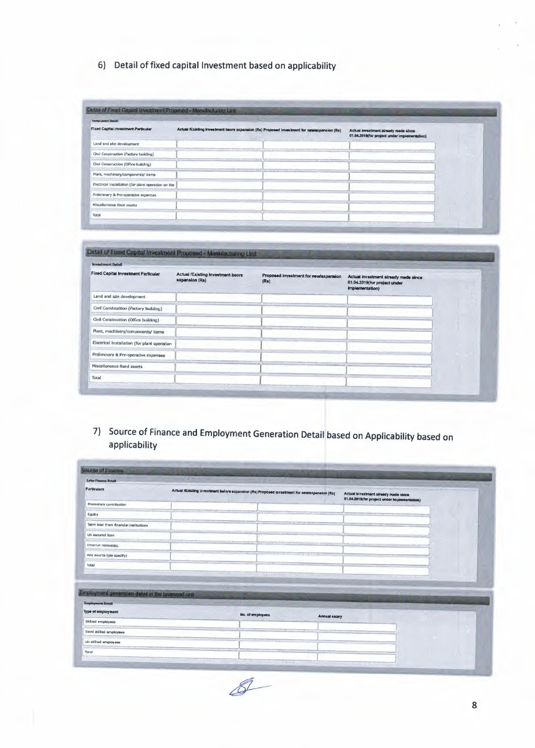## 6) Detail of fixed capital Investment based on applicability

| <b>Investment Detail</b>                                        |                                                                                                                                                                                                                                |                                                                                      |  |
|-----------------------------------------------------------------|--------------------------------------------------------------------------------------------------------------------------------------------------------------------------------------------------------------------------------|--------------------------------------------------------------------------------------|--|
| <b>Fixed Capital Investment Particular</b><br><b>CONTRACTOR</b> | Actual /Existing Investment bacre argansion (Rs) Proposed investment for newlexpansion (Rs)                                                                                                                                    | Actual investment already made aince<br>01.04.2019(for project under implementation) |  |
| Land and site development                                       |                                                                                                                                                                                                                                |                                                                                      |  |
| Civil Construction (Factory building)                           |                                                                                                                                                                                                                                |                                                                                      |  |
| Chvil Construction (Office building)                            | aganan biasangan menganan mengantan terahan di pada tahun dan menama menama menyeran menyeran menyeran menama menyeran menyeran menyeran menyeran menyeran menyeran menama menyeran menyeran menama menyeran menyeran menama m |                                                                                      |  |
| Plant, machinery/components/ items                              |                                                                                                                                                                                                                                |                                                                                      |  |
| Electrical Inscalation (for plant operation on the              |                                                                                                                                                                                                                                |                                                                                      |  |
| Preliminary & Pro-operative expenses                            |                                                                                                                                                                                                                                |                                                                                      |  |
| Miscellaneous food assets                                       |                                                                                                                                                                                                                                |                                                                                      |  |
| Total                                                           |                                                                                                                                                                                                                                |                                                                                      |  |

| <b>Fixed Capital Investment Particular</b>                               | Actual /Existing Investment beore<br>expansion (Ra) | Proposed investment for newisxpansion<br>(Ra) | Actual investment already made since                                                                             |  |
|--------------------------------------------------------------------------|-----------------------------------------------------|-----------------------------------------------|------------------------------------------------------------------------------------------------------------------|--|
|                                                                          |                                                     |                                               | 01.04.2019(for project under<br>Implementation)                                                                  |  |
| Land and site development.                                               |                                                     |                                               |                                                                                                                  |  |
| Civil Construction (Factory building)                                    |                                                     |                                               |                                                                                                                  |  |
| and the property of the property<br>Civil Construction (Office building) |                                                     |                                               |                                                                                                                  |  |
| Plant, machinery/components/ items                                       |                                                     |                                               |                                                                                                                  |  |
| Electrical Installation (for plant operation                             | <b><i>CONTRACTORS AND RESIDENCES</i></b>            |                                               |                                                                                                                  |  |
| Preliminary & Pre-operative expenses                                     |                                                     |                                               |                                                                                                                  |  |
| Miscellaneous fixed assets                                               |                                                     |                                               |                                                                                                                  |  |
| Total                                                                    |                                                     | <b>CONFIDENTIAL COMMUNISTIC</b>               | and the control of the control of the control of the control of the control of the control of the control of the |  |

7) Source of Finance and Employment Generation Detail based on Applicability based on applicability

| Sainas of Finance                                                                                   | m                              |                                                                                               |                      |                                                                                      |  |
|-----------------------------------------------------------------------------------------------------|--------------------------------|-----------------------------------------------------------------------------------------------|----------------------|--------------------------------------------------------------------------------------|--|
| <b>Earles Finance Detail</b>                                                                        |                                |                                                                                               |                      |                                                                                      |  |
| <b>Particulars</b>                                                                                  | <b>CONTRACTOR</b><br>Williams. | Actual riExisting Investment before expansion (Rs) Proposed investment for newlexpansion (Rs) |                      | Actual investment already made since<br>01.04.2019(for project under implementation) |  |
| Promoters contribution                                                                              |                                |                                                                                               |                      |                                                                                      |  |
| Equity                                                                                              |                                |                                                                                               |                      |                                                                                      |  |
| Term loan from financial institutions                                                               |                                |                                                                                               |                      |                                                                                      |  |
| Un aecured loan                                                                                     |                                | Der Symon &<br>$31.36 - 1$                                                                    |                      |                                                                                      |  |
| Internal resources                                                                                  |                                |                                                                                               | International        | <b>ANN STATISTICS</b>                                                                |  |
|                                                                                                     |                                |                                                                                               |                      |                                                                                      |  |
| Any source (pls specify)                                                                            |                                | Vandelsaanaa milista muusiksaanaa maraasi                                                     |                      |                                                                                      |  |
|                                                                                                     |                                |                                                                                               |                      |                                                                                      |  |
| <b>Total</b>                                                                                        |                                | <u>adarkhir Caroline ann</u>                                                                  |                      |                                                                                      |  |
|                                                                                                     |                                |                                                                                               |                      |                                                                                      |  |
|                                                                                                     |                                |                                                                                               |                      |                                                                                      |  |
| Employment generation detail in the broposed unit<br><b>Employment Detail</b><br>Type of employment |                                |                                                                                               |                      |                                                                                      |  |
| Skilled employees                                                                                   |                                | No. of employees                                                                              | <b>Annual salary</b> |                                                                                      |  |
| Serni skilled amployees                                                                             |                                |                                                                                               |                      |                                                                                      |  |
| <b>Un sidlied employees</b>                                                                         | <b>CENSUS</b>                  |                                                                                               |                      |                                                                                      |  |

 $\mathscr{I}$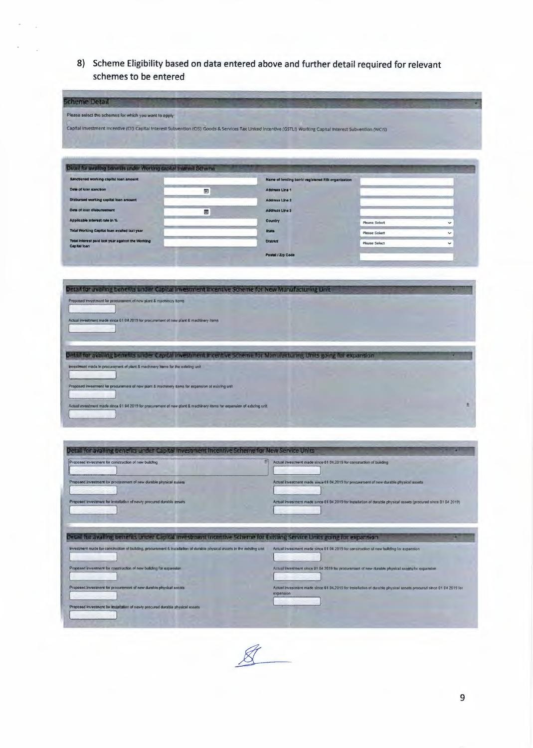8) Scheme Eligibility based on data entered above and further detail required for relevant schemes to be entered

| cheme Detail                                                                                                                                                                                                                                                                                               |                |                                                                                        |                                                                                                                   |
|------------------------------------------------------------------------------------------------------------------------------------------------------------------------------------------------------------------------------------------------------------------------------------------------------------|----------------|----------------------------------------------------------------------------------------|-------------------------------------------------------------------------------------------------------------------|
| Please select the schemes for which you want to apply:                                                                                                                                                                                                                                                     |                |                                                                                        |                                                                                                                   |
| Capital Investment incentive (CII) Capital Interest Subvention (CIS) Goods & Services Tax Linked Incentive (GSTLI) Working Capital interest Subvention (WCIS)                                                                                                                                              |                |                                                                                        |                                                                                                                   |
|                                                                                                                                                                                                                                                                                                            |                |                                                                                        |                                                                                                                   |
|                                                                                                                                                                                                                                                                                                            |                |                                                                                        |                                                                                                                   |
| Disast for availing benefits under Working sapital Interest Schema                                                                                                                                                                                                                                         |                |                                                                                        |                                                                                                                   |
| <b>Sanctioned working capital loan amount</b>                                                                                                                                                                                                                                                              |                | Name of fending bank/ registered RBI organization                                      |                                                                                                                   |
| Date of loan sanction                                                                                                                                                                                                                                                                                      | $\overline{w}$ | Address Line 1                                                                         |                                                                                                                   |
| Disbursed working capital loan amount                                                                                                                                                                                                                                                                      |                | Address Line 2                                                                         |                                                                                                                   |
| Date of loan disbursement                                                                                                                                                                                                                                                                                  | œ              | Address Line 3                                                                         |                                                                                                                   |
| Applicable Interest rate in %<br>Total Worlding Capital loan availed last year                                                                                                                                                                                                                             |                | Country<br>State.                                                                      | <b>Please Select</b><br>$\checkmark$                                                                              |
| Total Interest paid tast year against the Vioriting                                                                                                                                                                                                                                                        |                | <b>District</b>                                                                        | <b>Please Select</b><br>v<br><b>Please Select</b><br>$\checkmark$                                                 |
| Capital loan                                                                                                                                                                                                                                                                                               |                | Postal / Zip Code                                                                      |                                                                                                                   |
|                                                                                                                                                                                                                                                                                                            |                |                                                                                        |                                                                                                                   |
|                                                                                                                                                                                                                                                                                                            |                |                                                                                        |                                                                                                                   |
| Detail for availing benefits under Capital Investment Incentive Scheme for New Manufacturing Unit                                                                                                                                                                                                          |                |                                                                                        |                                                                                                                   |
| Proponed treestment for proclaiment of new plant & machinery items                                                                                                                                                                                                                                         |                |                                                                                        |                                                                                                                   |
| Actual investment made since 01.04.2019 for procurement of new plant & machinery items                                                                                                                                                                                                                     |                |                                                                                        |                                                                                                                   |
|                                                                                                                                                                                                                                                                                                            |                |                                                                                        |                                                                                                                   |
|                                                                                                                                                                                                                                                                                                            |                |                                                                                        |                                                                                                                   |
| investment made in procurement of plant & machinery items for the existing unit<br>Proposed investment for procurement of new plant & machinery kems for expension of existing unit<br>Actual aventment made sinca 01.04 2019 for procurement of new plant & machinery dems for expansion of existing unit |                |                                                                                        | n                                                                                                                 |
| Detail for availing benefits under Capital Investment Incentive Scheme for New Service Units<br>Proposed investment for construction of new building                                                                                                                                                       |                | Actual investment made since 01 04,2019 for construction of building                   |                                                                                                                   |
|                                                                                                                                                                                                                                                                                                            |                |                                                                                        |                                                                                                                   |
| Proposed investment for procurement of new durable physical assets                                                                                                                                                                                                                                         |                | Actual investment made since 01 04,2019 for procurement of new durable physical assets |                                                                                                                   |
|                                                                                                                                                                                                                                                                                                            |                |                                                                                        |                                                                                                                   |
| Proposed investment for installation of newly procured durable assets                                                                                                                                                                                                                                      |                |                                                                                        | Actual investment made since 01 04 2019 for Installation of durable physical essets (procured since 01 04 2019)   |
|                                                                                                                                                                                                                                                                                                            |                |                                                                                        |                                                                                                                   |
|                                                                                                                                                                                                                                                                                                            |                |                                                                                        |                                                                                                                   |
| Detail for availing benefits under Capital investment incentive Scheme for Existing Service Units going for expansion<br>levestment made for construction of building, procurement & installation of durable physical assets in the existing unit                                                          |                | Actual Investment made since 01 04 2019 for construction of new building for expansion |                                                                                                                   |
|                                                                                                                                                                                                                                                                                                            |                |                                                                                        |                                                                                                                   |
| Proposed investment for coastruction of new building for expansion.                                                                                                                                                                                                                                        |                |                                                                                        | Actual lovestment since 01 04 2019 for procurement of new durable physical assists for expansion                  |
|                                                                                                                                                                                                                                                                                                            |                |                                                                                        |                                                                                                                   |
| Proposed.Investment for procurement of new durable physical assets                                                                                                                                                                                                                                         |                | noisnegxe                                                                              | Actual investment made since 01 04.2019 for installation of durable physical assets procured since 01 04 2019 for |
| Proposed investment for initial allon of newly procured durable physical assets                                                                                                                                                                                                                            |                |                                                                                        |                                                                                                                   |
|                                                                                                                                                                                                                                                                                                            |                |                                                                                        |                                                                                                                   |
|                                                                                                                                                                                                                                                                                                            |                |                                                                                        |                                                                                                                   |

 $&$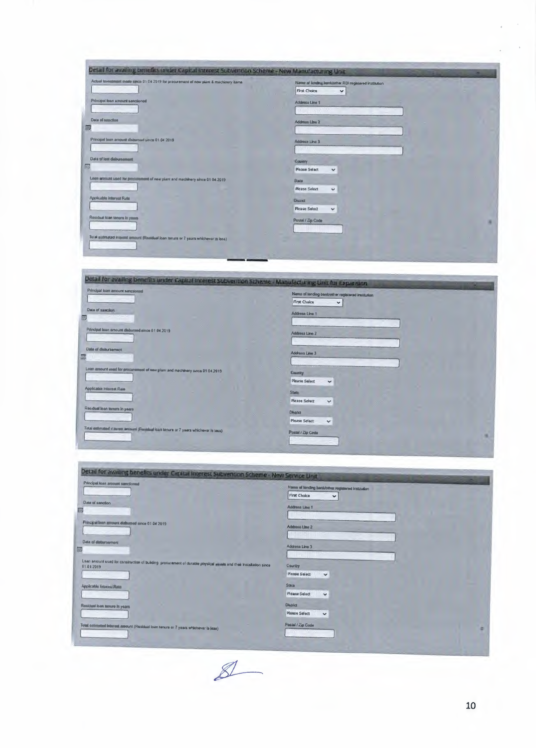| Actual Investment made since 01 04 2019 for procurement of new plant & machinery items | Name of lending benk/other RBI registered institution |   |
|----------------------------------------------------------------------------------------|-------------------------------------------------------|---|
|                                                                                        | <b>First Choice</b><br>$\checkmark$                   |   |
| Principal foars amount sanctioned                                                      | Address Line 1                                        |   |
|                                                                                        |                                                       |   |
| <b>Deta of negotion</b>                                                                | Address Line 2                                        |   |
|                                                                                        |                                                       |   |
| Principal lean amount distaursed since 01 04 2019                                      | Address Line 3                                        |   |
|                                                                                        |                                                       |   |
| Date of last disbursement                                                              | Country                                               |   |
|                                                                                        | <b>Please Select</b><br>$\checkmark$                  |   |
| Loan amount used for programment of new plant and machinery since 01 04:2019           | State                                                 |   |
|                                                                                        | <b>Please Select</b><br>$\checkmark$                  |   |
| Applicable Interest Rate                                                               | <b>Onstreet</b>                                       |   |
|                                                                                        | Please Select<br>$\checkmark$                         |   |
| Residual loan tenure in years                                                          | Postal / Zip Code                                     | 雇 |
|                                                                                        |                                                       |   |
| Total estimated interest amount (Realdual loan tenure or 7 years whichever is less)    |                                                       |   |

| Detail for availing benefits under Capital Interest Subvention Scheme - Manufacturing Unit fur Expansion |                                                                                                     |
|----------------------------------------------------------------------------------------------------------|-----------------------------------------------------------------------------------------------------|
| Principal loan amount sanctioned<br>Date of sanction<br>ь                                                | Name of lending bank/other registered institution<br>First Choice<br>$\checkmark$<br>Address Line 1 |
| Paincipal loan smours disbursed airce 01 04 2019                                                         | Address Line 2                                                                                      |
| Date of disbursement<br>剔                                                                                | Address Line 3                                                                                      |
| Loan amount used for procurement of new plant and machinery since 01 04.2019                             | <b>Country</b><br>Please Select<br>$\checkmark$                                                     |
| Applicable Interest Rate                                                                                 | <b>State</b><br><b>Please Select</b><br>$\checkmark$                                                |
| Residual loan tenum in years                                                                             | <b>District</b><br>Please Select<br>$\checkmark$                                                    |
| Total entimated insurest amount (Residual loan tenure or 7 years whichever is less)                      | Postal / Zip Code                                                                                   |

| Principal loan aroount sanctioned                                                                                                | Name of lending bank/other registered institution |
|----------------------------------------------------------------------------------------------------------------------------------|---------------------------------------------------|
|                                                                                                                                  | First Choice<br>$\checkmark$                      |
| Date of sanction                                                                                                                 | <b>Address Line 1</b>                             |
|                                                                                                                                  |                                                   |
| Principal lean amount disturned since 01 04 2019                                                                                 |                                                   |
|                                                                                                                                  | Address Line 2                                    |
|                                                                                                                                  |                                                   |
| Date of distansement                                                                                                             | Address Line 3                                    |
|                                                                                                                                  |                                                   |
| Loan amount used for construction of building procurement of durable physical a sells and their Installation since<br>01.01.2019 | Country                                           |
| the contract of the contract of                                                                                                  | Please Select<br>$\checkmark$                     |
|                                                                                                                                  |                                                   |
| Applicable Interest Rate                                                                                                         | State                                             |
|                                                                                                                                  | Please Select<br>$\checkmark$                     |
| Residual loan tenure in years                                                                                                    | <b>District</b>                                   |
|                                                                                                                                  | Please Select<br>$\checkmark$                     |
| Total collimeted interest assount (Residual loan tenure or 7 years whichever is less)                                            | Pestal / Zip Code                                 |
|                                                                                                                                  | Wednesday Jones                                   |

 $\mathbb{Z}$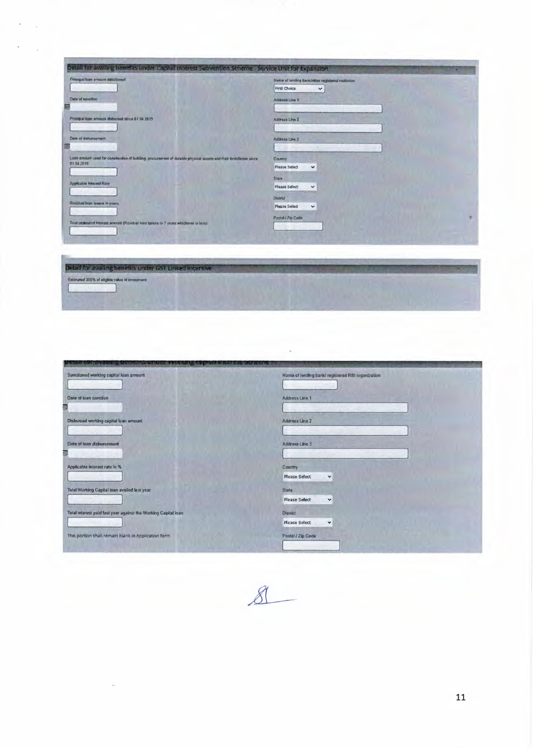| Principal loan amount statclioned                                                                                               | Name of lending bank/other registered institution |
|---------------------------------------------------------------------------------------------------------------------------------|---------------------------------------------------|
|                                                                                                                                 | First Choice<br>$\checkmark$                      |
| Date of sanction                                                                                                                | Address Line 1                                    |
| Principal lean emount disbursed aince 01.04.2019                                                                                | Address Line 2                                    |
| Date of disbursement                                                                                                            | Address Line 3                                    |
| 画<br>are eternt also                                                                                                            |                                                   |
| Losn smount used for construction of building procurement of durable physical misets and their lostsfietion since<br>01 04 2019 | Country<br>Please Select<br>$\checkmark$          |
|                                                                                                                                 | State                                             |
| <b>Applicable Interest Rate</b><br>their popular                                                                                | <b>Please Select</b><br>$\checkmark$              |
| Residual loan temura in years                                                                                                   | <b>District</b>                                   |
| the first state of                                                                                                              | <b>Please Select</b><br>$\checkmark$              |
| Total entimated interest amount (Residual loan tunure or 7 years whichever is less)                                             | Postal / Zip Cade                                 |
|                                                                                                                                 |                                                   |



 $\overline{\phantom{a}}$ 

Detail for availing benefits under GST Linked Incentiv

| a bond and the state of the context and detected as a statement of a subjected to a state of the context of the |                                                   |
|-----------------------------------------------------------------------------------------------------------------|---------------------------------------------------|
| Sanctioned working capital foan amount                                                                          | Name of lending bank/ registered RBI organization |
| Date of loan sanction                                                                                           | Address Line 1                                    |
| 9<br>Disbursed working capital loan amount                                                                      | Address Line 2                                    |
| Date of loan disbursement                                                                                       | Address Line 3                                    |
| 鄄                                                                                                               |                                                   |
| Applicable interest rate in %                                                                                   | Country<br>Please Select<br>٧                     |
| Total Working Capital loan availed last year                                                                    | State<br>Please Select<br>$\checkmark$            |
| Total interest paid last year against the Working Capital loan                                                  | <b>District</b><br>Please Select<br>v             |
| This portion shall remain blank in Application form                                                             | Postal / Zip Code                                 |
|                                                                                                                 |                                                   |

 $8$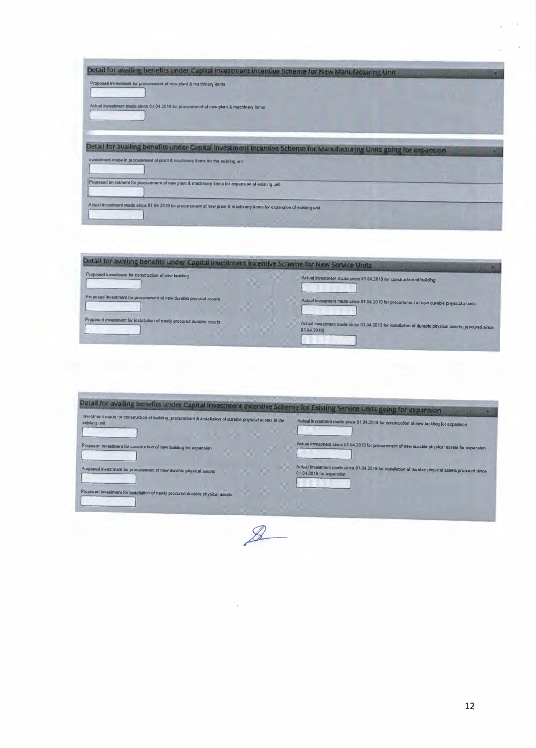| Detail for availing benefits under Capital Investment Incentive Scheme for New Manufacturing Unit                                                                                                                           |  |
|-----------------------------------------------------------------------------------------------------------------------------------------------------------------------------------------------------------------------------|--|
| Proposed investment for procurement of new plant & machinery items                                                                                                                                                          |  |
| Actual investment made since 01 04 2019 for procurement of new plant & machinery items                                                                                                                                      |  |
| Detail for availing benefits under Capital Investment Incentive Scheme for Manufacturing Units going for expansion                                                                                                          |  |
| Investment made in procurement of plant & machinery items for the existing unit                                                                                                                                             |  |
|                                                                                                                                                                                                                             |  |
| Proposed investment for procurement of new plant & machinery items for expansion of existing unit<br>Actual investment made since 01 04 2019 for procurement of new plant & machinery items for expansion of existing unit. |  |

| Proposed investment for construction of new building                  | Actual investment made since 01 04.2019 for construction of building                                               |
|-----------------------------------------------------------------------|--------------------------------------------------------------------------------------------------------------------|
|                                                                       |                                                                                                                    |
| Proposed investment for procurement of new durable physical assets    | Actual investment made since 01 04 2019 for procurement of new durable physical assets                             |
| Proposed investment for installation of newly procured durable assets | Actual investment made since 01.04 2019 for installation of durable physical assets (procured since<br>01.04 2019) |

| Detail for availing benefits under Capital Investment Incentive Scheme for Existing Service Units going for expansion       |                                                                                                                                |
|-----------------------------------------------------------------------------------------------------------------------------|--------------------------------------------------------------------------------------------------------------------------------|
| Investment made for construction of building, procurement & installation of durable physical assets in the<br>existing unit | Actual investment made since 01 04.2019 for construction of new building for expansion                                         |
| Proposed investment for construction of new building for expansion                                                          | Actual investment since 01 04.2019 for procurement of new durable physical assets for expansion                                |
| Proposed investment for procurament of new durable physical assets                                                          | Actual investment made since 01.04 2019 for installation of durable physical assets procured since<br>01 04:2019 for expansion |
| Proposed kwestment for limitaliation of newly procured durable physical assets                                              |                                                                                                                                |

 $\mathcal{B}$